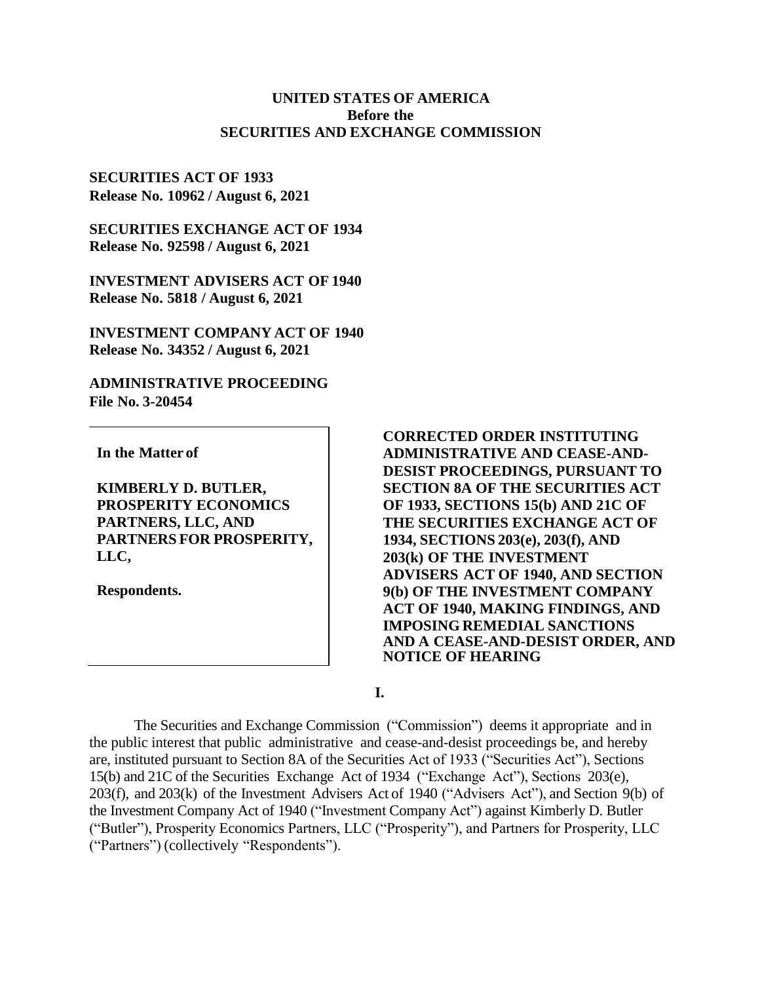#### **UNITED STATES OF AMERICA Before the SECURITIES AND EXCHANGE COMMISSION**

#### **SECURITIES ACT OF 1933 Release No. 10962 / August 6, 2021**

**SECURITIES EXCHANGE ACT OF 1934 Release No. 92598 / August 6, 2021**

**INVESTMENT ADVISERS ACT OF 1940 Release No. 5818 / August 6, 2021**

**INVESTMENT COMPANY ACT OF 1940 Release No. 34352 / August 6, 2021**

**ADMINISTRATIVE PROCEEDING File No. 3-20454**

**In the Matter of**

**KIMBERLY D. BUTLER, PROSPERITY ECONOMICS PARTNERS, LLC, AND PARTNERS FOR PROSPERITY, LLC,**

**Respondents.**

**CORRECTED ORDER INSTITUTING ADMINISTRATIVE AND CEASE-AND-DESIST PROCEEDINGS, PURSUANT TO SECTION 8A OF THE SECURITIES ACT OF 1933, SECTIONS 15(b) AND 21C OF THE SECURITIES EXCHANGE ACT OF 1934, SECTIONS 203(e), 203(f), AND 203(k) OF THE INVESTMENT ADVISERS ACT OF 1940, AND SECTION 9(b) OF THE INVESTMENT COMPANY ACT OF 1940, MAKING FINDINGS, AND IMPOSING REMEDIAL SANCTIONS AND A CEASE-AND-DESIST ORDER, AND NOTICE OF HEARING**

**I.**

The Securities and Exchange Commission ("Commission") deems it appropriate and in the public interest that public administrative and cease-and-desist proceedings be, and hereby are, instituted pursuant to Section 8A of the Securities Act of 1933 ("Securities Act"), Sections 15(b) and 21C of the Securities Exchange Act of 1934 ("Exchange Act"), Sections 203(e), 203(f), and 203(k) of the Investment Advisers Act of 1940 ("Advisers Act"), and Section 9(b) of the Investment Company Act of 1940 ("Investment Company Act") against Kimberly D. Butler ("Butler"), Prosperity Economics Partners, LLC ("Prosperity"), and Partners for Prosperity, LLC ("Partners") (collectively "Respondents").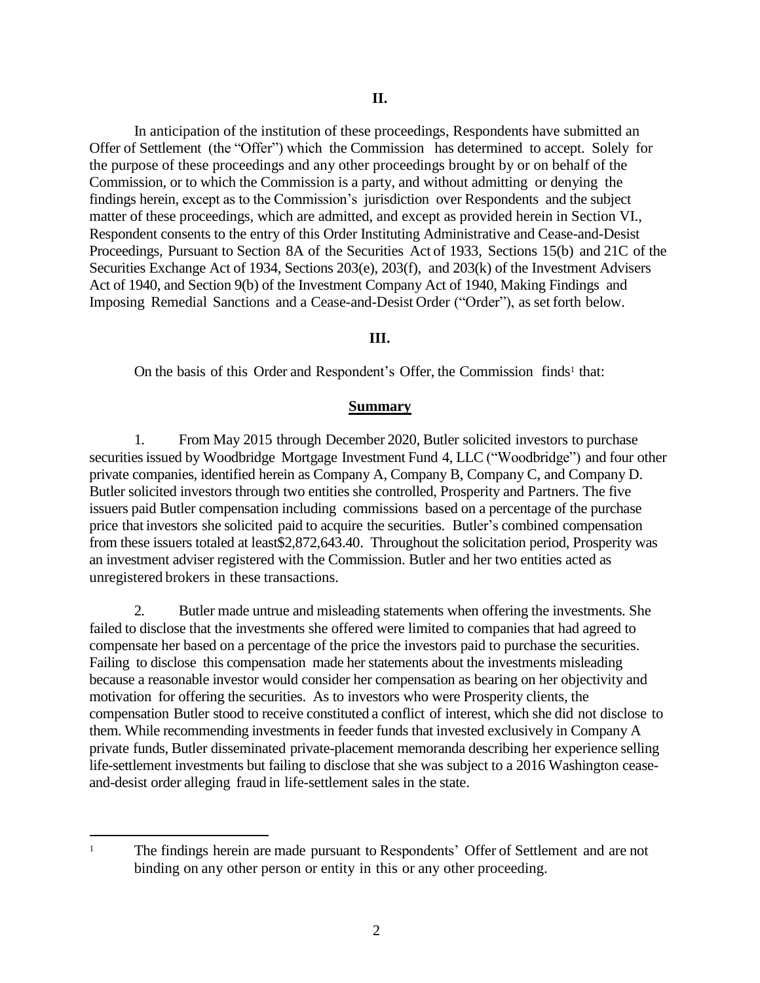In anticipation of the institution of these proceedings, Respondents have submitted an Offer of Settlement (the "Offer") which the Commission has determined to accept. Solely for the purpose of these proceedings and any other proceedings brought by or on behalf of the Commission, or to which the Commission is a party, and without admitting or denying the findings herein, except as to the Commission's jurisdiction over Respondents and the subject matter of these proceedings, which are admitted, and except as provided herein in Section VI., Respondent consents to the entry of this Order Instituting Administrative and Cease-and-Desist Proceedings, Pursuant to Section 8A of the Securities Act of 1933, Sections 15(b) and 21C of the Securities Exchange Act of 1934, Sections 203(e), 203(f), and 203(k) of the Investment Advisers Act of 1940, and Section 9(b) of the Investment Company Act of 1940, Making Findings and Imposing Remedial Sanctions and a Cease-and-Desist Order ("Order"), as set forth below.

#### **III.**

On the basis of this Order and Respondent's Offer, the Commission finds<sup>1</sup> that:

#### **Summary**

1. From May 2015 through December 2020, Butler solicited investors to purchase securities issued by Woodbridge Mortgage Investment Fund 4, LLC ("Woodbridge") and four other private companies, identified herein as Company A, Company B, Company C, and Company D. Butler solicited investors through two entities she controlled, Prosperity and Partners. The five issuers paid Butler compensation including commissions based on a percentage of the purchase price that investors she solicited paid to acquire the securities. Butler's combined compensation from these issuers totaled at least\$2,872,643.40. Throughout the solicitation period, Prosperity was an investment adviser registered with the Commission. Butler and her two entities acted as unregistered brokers in these transactions.

2. Butler made untrue and misleading statements when offering the investments. She failed to disclose that the investments she offered were limited to companies that had agreed to compensate her based on a percentage of the price the investors paid to purchase the securities. Failing to disclose this compensation made her statements about the investments misleading because a reasonable investor would consider her compensation as bearing on her objectivity and motivation for offering the securities. As to investors who were Prosperity clients, the compensation Butler stood to receive constituted a conflict of interest, which she did not disclose to them. While recommending investments in feeder funds that invested exclusively in Company A private funds, Butler disseminated private-placement memoranda describing her experience selling life-settlement investments but failing to disclose that she was subject to a 2016 Washington ceaseand-desist order alleging fraud in life-settlement sales in the state.

<sup>&</sup>lt;sup>1</sup> The findings herein are made pursuant to Respondents' Offer of Settlement and are not binding on any other person or entity in this or any other proceeding.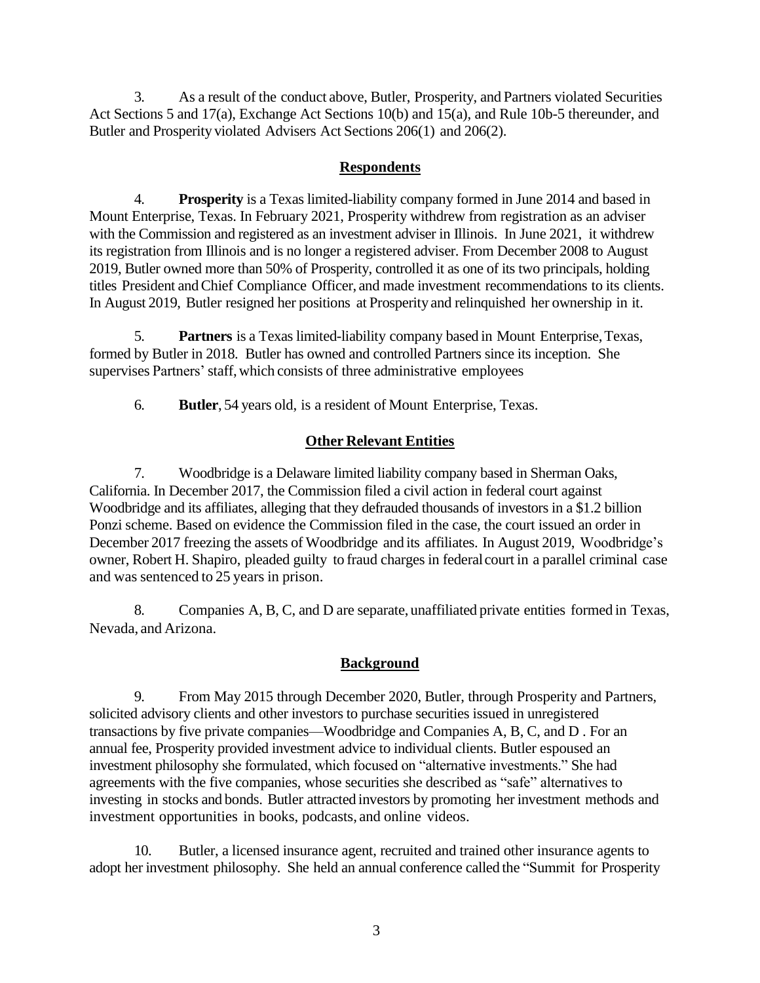3. As a result of the conduct above, Butler, Prosperity, and Partners violated Securities Act Sections 5 and 17(a), Exchange Act Sections 10(b) and 15(a), and Rule 10b-5 thereunder, and Butler and Prosperity violated Advisers Act Sections 206(1) and 206(2).

# **Respondents**

4. **Prosperity** is a Texas limited-liability company formed in June 2014 and based in Mount Enterprise, Texas. In February 2021, Prosperity withdrew from registration as an adviser with the Commission and registered as an investment adviser in Illinois. In June 2021, it withdrew its registration from Illinois and is no longer a registered adviser. From December 2008 to August 2019, Butler owned more than 50% of Prosperity, controlled it as one of its two principals, holding titles President andChief Compliance Officer, and made investment recommendations to its clients. In August 2019, Butler resigned her positions at Prosperity and relinquished her ownership in it.

5. **Partners** is a Texas limited-liability company based in Mount Enterprise,Texas, formed by Butler in 2018. Butler has owned and controlled Partners since its inception. She supervises Partners' staff, which consists of three administrative employees

6. **Butler**, 54 years old, is a resident of Mount Enterprise, Texas.

# **Other Relevant Entities**

7. Woodbridge is a Delaware limited liability company based in Sherman Oaks, California. In December 2017, the Commission filed a civil action in federal court against Woodbridge and its affiliates, alleging that they defrauded thousands of investors in a \$1.2 billion Ponzi scheme. Based on evidence the Commission filed in the case, the court issued an order in December 2017 freezing the assets of Woodbridge and its affiliates. In August 2019, Woodbridge's owner, Robert H. Shapiro, pleaded guilty to fraud charges in federal court in a parallel criminal case and was sentenced to 25 years in prison.

8. Companies A, B, C, and D are separate, unaffiliated private entities formed in Texas, Nevada, and Arizona.

# **Background**

9. From May 2015 through December 2020, Butler, through Prosperity and Partners, solicited advisory clients and other investors to purchase securities issued in unregistered transactions by five private companies—Woodbridge and Companies A, B, C, and D . For an annual fee, Prosperity provided investment advice to individual clients. Butler espoused an investment philosophy she formulated, which focused on "alternative investments." She had agreements with the five companies, whose securities she described as "safe" alternatives to investing in stocks and bonds. Butler attracted investors by promoting her investment methods and investment opportunities in books, podcasts, and online videos.

10. Butler, a licensed insurance agent, recruited and trained other insurance agents to adopt her investment philosophy. She held an annual conference called the "Summit for Prosperity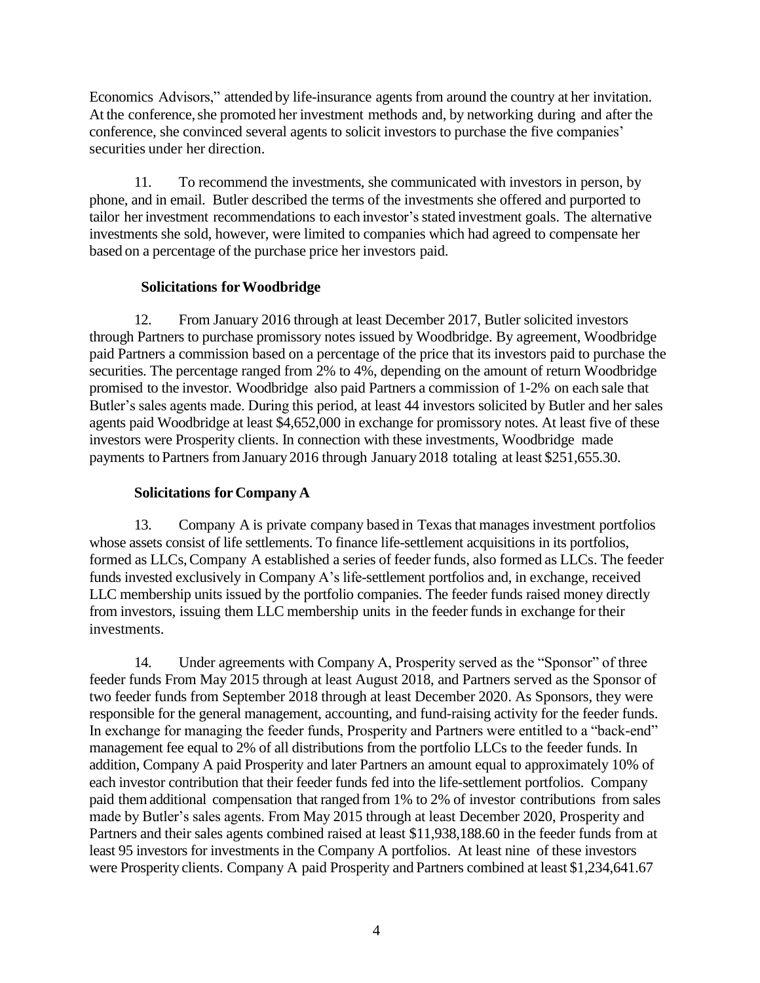Economics Advisors," attended by life-insurance agents from around the country at her invitation. At the conference, she promoted her investment methods and, by networking during and after the conference, she convinced several agents to solicit investors to purchase the five companies' securities under her direction.

11. To recommend the investments, she communicated with investors in person, by phone, and in email. Butler described the terms of the investments she offered and purported to tailor her investment recommendations to each investor'sstated investment goals. The alternative investments she sold, however, were limited to companies which had agreed to compensate her based on a percentage of the purchase price her investors paid.

# **Solicitations forWoodbridge**

12. From January 2016 through at least December 2017, Butler solicited investors through Partners to purchase promissory notes issued by Woodbridge. By agreement, Woodbridge paid Partners a commission based on a percentage of the price that its investors paid to purchase the securities. The percentage ranged from 2% to 4%, depending on the amount of return Woodbridge promised to the investor. Woodbridge also paid Partners a commission of 1-2% on each sale that Butler's sales agents made. During this period, at least 44 investors solicited by Butler and her sales agents paid Woodbridge at least \$4,652,000 in exchange for promissory notes. At least five of these investors were Prosperity clients. In connection with these investments, Woodbridge made payments to Partners fromJanuary 2016 through January 2018 totaling at least \$251,655.30.

# **Solicitations for Company A**

13. Company A is private company based in Texas that manages investment portfolios whose assets consist of life settlements. To finance life-settlement acquisitions in its portfolios, formed as LLCs, Company A established a series of feeder funds, also formed as LLCs. The feeder funds invested exclusively in Company A's life-settlement portfolios and, in exchange, received LLC membership units issued by the portfolio companies. The feeder funds raised money directly from investors, issuing them LLC membership units in the feeder fundsin exchange for their investments.

14. Under agreements with Company A, Prosperity served as the "Sponsor" of three feeder funds From May 2015 through at least August 2018, and Partners served as the Sponsor of two feeder funds from September 2018 through at least December 2020. As Sponsors, they were responsible for the general management, accounting, and fund-raising activity for the feeder funds. In exchange for managing the feeder funds, Prosperity and Partners were entitled to a "back-end" management fee equal to 2% of all distributions from the portfolio LLCs to the feeder funds. In addition, Company A paid Prosperity and later Partners an amount equal to approximately 10% of each investor contribution that their feeder funds fed into the life-settlement portfolios. Company paid themadditional compensation that ranged from 1% to 2% of investor contributions from sales made by Butler's sales agents. From May 2015 through at least December 2020, Prosperity and Partners and their sales agents combined raised at least \$11,938,188.60 in the feeder funds from at least 95 investors for investments in the Company A portfolios. At least nine of these investors were Prosperity clients. Company A paid Prosperity and Partners combined at least \$1,234,641.67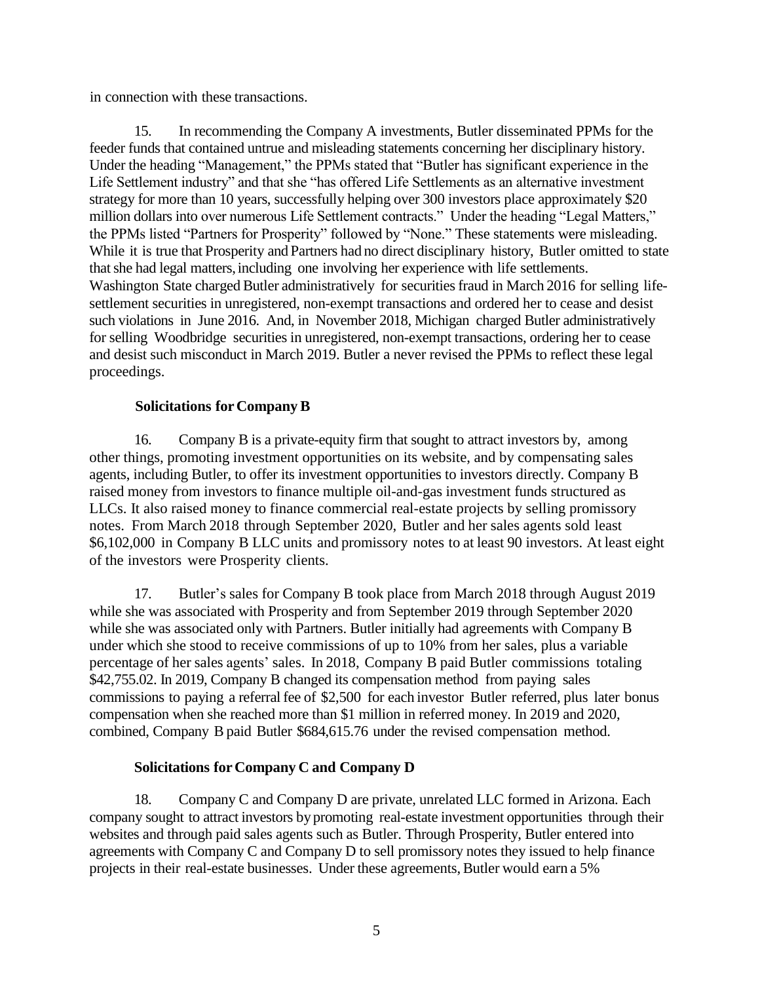in connection with these transactions.

15. In recommending the Company A investments, Butler disseminated PPMs for the feeder funds that contained untrue and misleading statements concerning her disciplinary history. Under the heading "Management," the PPMs stated that "Butler has significant experience in the Life Settlement industry" and that she "has offered Life Settlements as an alternative investment strategy for more than 10 years, successfully helping over 300 investors place approximately \$20 million dollars into over numerous Life Settlement contracts." Under the heading "Legal Matters," the PPMs listed "Partners for Prosperity" followed by "None." These statements were misleading. While it is true that Prosperity and Partners had no direct disciplinary history, Butler omitted to state that she had legal matters, including one involving her experience with life settlements. Washington State charged Butler administratively for securities fraud in March 2016 for selling lifesettlement securities in unregistered, non-exempt transactions and ordered her to cease and desist such violations in June 2016. And, in November 2018, Michigan charged Butler administratively for selling Woodbridge securities in unregistered, non-exempt transactions, ordering her to cease and desist such misconduct in March 2019. Butler a never revised the PPMs to reflect these legal proceedings.

### **Solicitations for CompanyB**

16. Company B is a private-equity firm that sought to attract investors by, among other things, promoting investment opportunities on its website, and by compensating sales agents, including Butler, to offer its investment opportunities to investors directly. Company B raised money from investors to finance multiple oil-and-gas investment funds structured as LLCs. It also raised money to finance commercial real-estate projects by selling promissory notes. From March 2018 through September 2020, Butler and her sales agents sold least \$6,102,000 in Company B LLC units and promissory notes to at least 90 investors. At least eight of the investors were Prosperity clients.

17. Butler's sales for Company B took place from March 2018 through August 2019 while she was associated with Prosperity and from September 2019 through September 2020 while she was associated only with Partners. Butler initially had agreements with Company B under which she stood to receive commissions of up to 10% from her sales, plus a variable percentage of her sales agents' sales. In 2018, Company B paid Butler commissions totaling \$42,755.02. In 2019, Company B changed its compensation method from paying sales commissions to paying a referral fee of \$2,500 for each investor Butler referred, plus later bonus compensation when she reached more than \$1 million in referred money. In 2019 and 2020, combined, Company B paid Butler \$684,615.76 under the revised compensation method.

# **Solicitations for Company C and Company D**

18. Company C and Company D are private, unrelated LLC formed in Arizona. Each company sought to attract investors by promoting real-estate investment opportunities through their websites and through paid sales agents such as Butler. Through Prosperity, Butler entered into agreements with Company C and Company D to sell promissory notes they issued to help finance projects in their real-estate businesses. Under these agreements, Butler would earn a 5%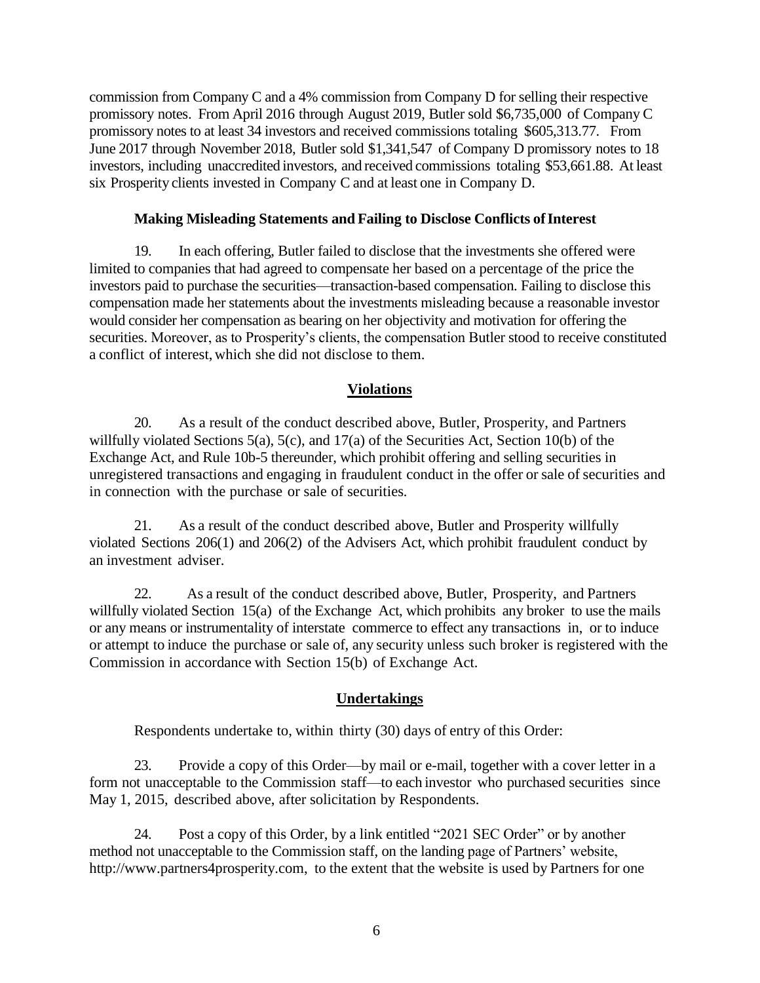commission from Company C and a 4% commission from Company D for selling their respective promissory notes. From April 2016 through August 2019, Butler sold \$6,735,000 of Company C promissory notes to at least 34 investors and received commissions totaling \$605,313.77. From June 2017 through November 2018, Butler sold \$1,341,547 of Company D promissory notes to 18 investors, including unaccredited investors, and received commissions totaling \$53,661.88. At least six Prosperity clients invested in Company C and at least one in Company D.

#### **Making Misleading Statements and Failing to Disclose Conflicts ofInterest**

19. In each offering, Butler failed to disclose that the investments she offered were limited to companies that had agreed to compensate her based on a percentage of the price the investors paid to purchase the securities—transaction-based compensation. Failing to disclose this compensation made her statements about the investments misleading because a reasonable investor would consider her compensation as bearing on her objectivity and motivation for offering the securities. Moreover, as to Prosperity's clients, the compensation Butler stood to receive constituted a conflict of interest, which she did not disclose to them.

# **Violations**

20. As a result of the conduct described above, Butler, Prosperity, and Partners willfully violated Sections 5(a), 5(c), and 17(a) of the Securities Act, Section 10(b) of the Exchange Act, and Rule 10b-5 thereunder, which prohibit offering and selling securities in unregistered transactions and engaging in fraudulent conduct in the offer or sale of securities and in connection with the purchase or sale of securities*.*

21. As a result of the conduct described above, Butler and Prosperity willfully violated Sections 206(1) and 206(2) of the Advisers Act, which prohibit fraudulent conduct by an investment adviser.

22. As a result of the conduct described above, Butler, Prosperity, and Partners willfully violated Section 15(a) of the Exchange Act, which prohibits any broker to use the mails or any means or instrumentality of interstate commerce to effect any transactions in, or to induce or attempt to induce the purchase or sale of, any security unless such broker is registered with the Commission in accordance with Section 15(b) of Exchange Act.

# **Undertakings**

Respondents undertake to, within thirty (30) days of entry of this Order:

23. Provide a copy of this Order—by mail or e-mail, together with a cover letter in a form not unacceptable to the Commission staff—to each investor who purchased securities since May 1, 2015, described above, after solicitation by Respondents.

24. Post a copy of this Order, by a link entitled "2021 SEC Order" or by another method not unacceptable to the Commission staff, on the landing page of Partners' website, [http://www.partners4prosperity.com,](http://www.partners4prosperity.com/) to the extent that the website is used by Partners for one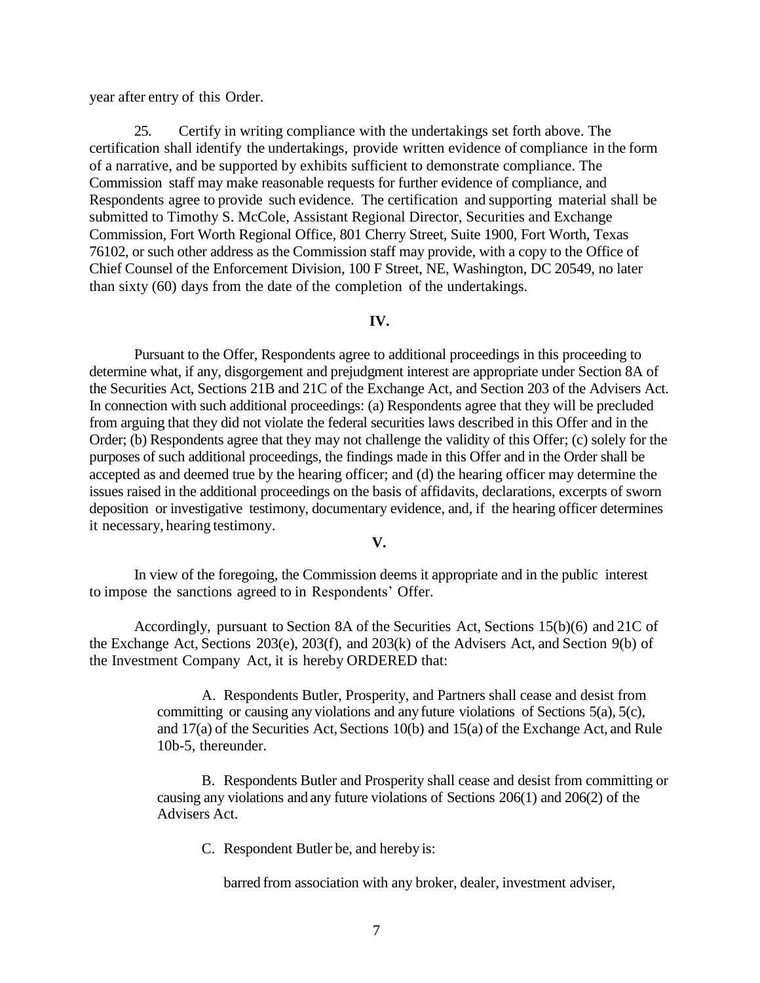year after entry of this Order.

25. Certify in writing compliance with the undertakings set forth above. The certification shall identify the undertakings, provide written evidence of compliance in the form of a narrative, and be supported by exhibits sufficient to demonstrate compliance. The Commission staff may make reasonable requests for further evidence of compliance, and Respondents agree to provide such evidence. The certification and supporting material shall be submitted to Timothy S. McCole, Assistant Regional Director, Securities and Exchange Commission, Fort Worth Regional Office, 801 Cherry Street, Suite 1900, Fort Worth, Texas 76102, or such other address as the Commission staff may provide, with a copy to the Office of Chief Counsel of the Enforcement Division, 100 F Street, NE, Washington, DC 20549, no later than sixty (60) days from the date of the completion of the undertakings.

#### **IV.**

Pursuant to the Offer, Respondents agree to additional proceedings in this proceeding to determine what, if any, disgorgement and prejudgment interest are appropriate under Section 8A of the Securities Act, Sections 21B and 21C of the Exchange Act, and Section 203 of the Advisers Act. In connection with such additional proceedings: (a) Respondents agree that they will be precluded from arguing that they did not violate the federal securities laws described in this Offer and in the Order; (b) Respondents agree that they may not challenge the validity of this Offer; (c) solely for the purposes of such additional proceedings, the findings made in this Offer and in the Order shall be accepted as and deemed true by the hearing officer; and (d) the hearing officer may determine the issues raised in the additional proceedings on the basis of affidavits, declarations, excerpts of sworn deposition or investigative testimony, documentary evidence, and, if the hearing officer determines it necessary, hearing testimony.

#### **V.**

In view of the foregoing, the Commission deems it appropriate and in the public interest to impose the sanctions agreed to in Respondents' Offer.

Accordingly, pursuant to Section 8A of the Securities Act, Sections 15(b)(6) and 21C of the Exchange Act, Sections 203(e), 203(f), and 203(k) of the Advisers Act, and Section 9(b) of the Investment Company Act, it is hereby ORDERED that:

> A. Respondents Butler, Prosperity, and Partners shall cease and desist from committing or causing any violations and anyfuture violations of Sections 5(a), 5(c), and  $17(a)$  of the Securities Act, Sections 10(b) and  $15(a)$  of the Exchange Act, and Rule 10b-5, thereunder.

B. Respondents Butler and Prosperity shall cease and desist from committing or causing any violations and any future violations of Sections 206(1) and 206(2) of the Advisers Act.

C. Respondent Butler be, and hereby is:

barred from association with any broker, dealer, investment adviser,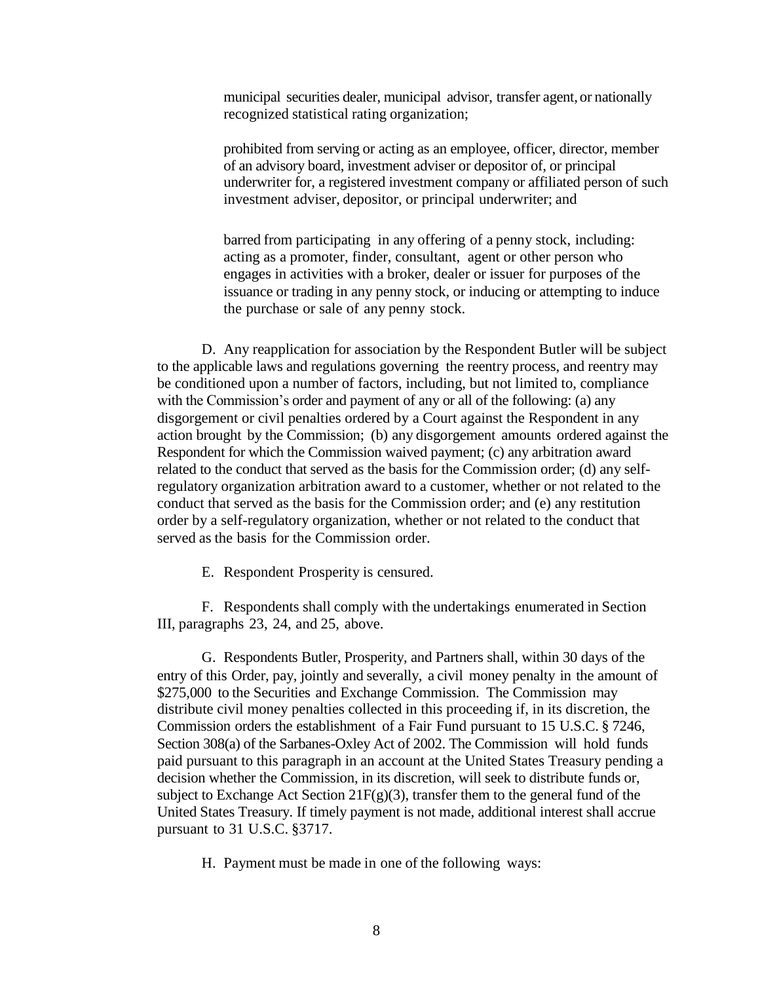municipal securities dealer, municipal advisor, transfer agent, or nationally recognized statistical rating organization;

prohibited from serving or acting as an employee, officer, director, member of an advisory board, investment adviser or depositor of, or principal underwriter for, a registered investment company or affiliated person of such investment adviser, depositor, or principal underwriter; and

barred from participating in any offering of a penny stock, including: acting as a promoter, finder, consultant, agent or other person who engages in activities with a broker, dealer or issuer for purposes of the issuance or trading in any penny stock, or inducing or attempting to induce the purchase or sale of any penny stock.

D. Any reapplication for association by the Respondent Butler will be subject to the applicable laws and regulations governing the reentry process, and reentry may be conditioned upon a number of factors, including, but not limited to, compliance with the Commission's order and payment of any or all of the following: (a) any disgorgement or civil penalties ordered by a Court against the Respondent in any action brought by the Commission; (b) any disgorgement amounts ordered against the Respondent for which the Commission waived payment; (c) any arbitration award related to the conduct that served as the basis for the Commission order; (d) any selfregulatory organization arbitration award to a customer, whether or not related to the conduct that served as the basis for the Commission order; and (e) any restitution order by a self-regulatory organization, whether or not related to the conduct that served as the basis for the Commission order.

E. Respondent Prosperity is censured.

F. Respondents shall comply with the undertakings enumerated in Section III, paragraphs 23, 24, and 25, above.

G. Respondents Butler, Prosperity, and Partners shall, within 30 days of the entry of this Order, pay, jointly and severally, a civil money penalty in the amount of \$275,000 to the Securities and Exchange Commission. The Commission may distribute civil money penalties collected in this proceeding if, in its discretion, the Commission orders the establishment of a Fair Fund pursuant to 15 U.S.C. § 7246, Section 308(a) of the Sarbanes-Oxley Act of 2002. The Commission will hold funds paid pursuant to this paragraph in an account at the United States Treasury pending a decision whether the Commission, in its discretion, will seek to distribute funds or, subject to Exchange Act Section  $21F(g)(3)$ , transfer them to the general fund of the United States Treasury. If timely payment is not made, additional interest shall accrue pursuant to 31 U.S.C. §3717.

H. Payment must be made in one of the following ways: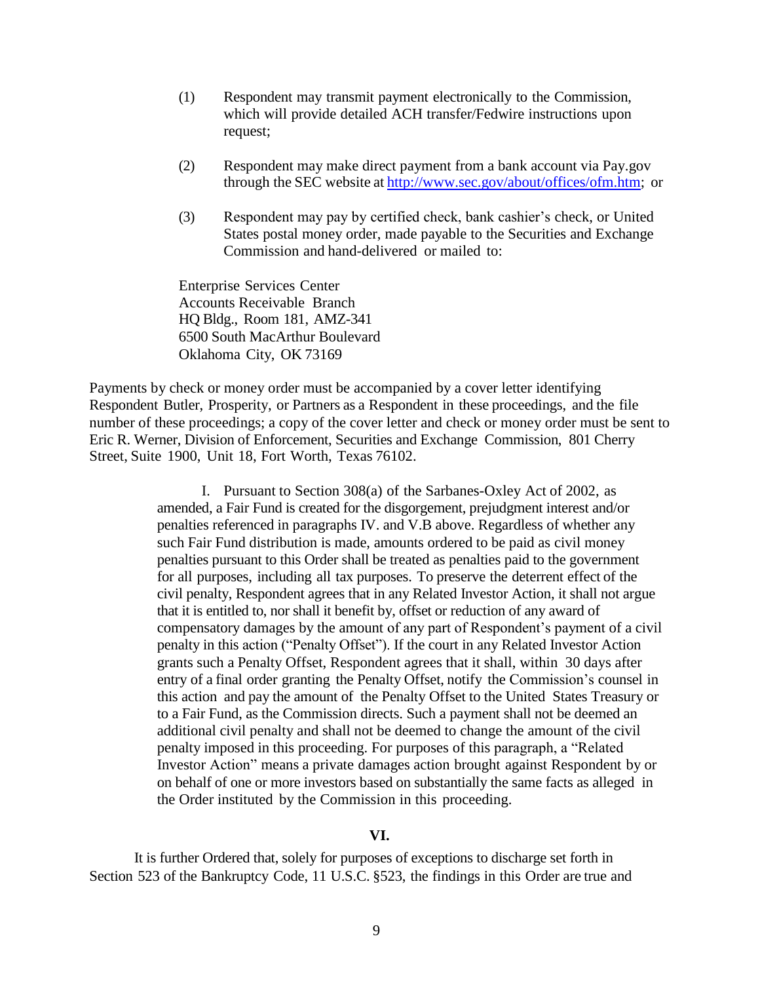- (1) Respondent may transmit payment electronically to the Commission, which will provide detailed ACH transfer/Fedwire instructions upon request;
- (2) Respondent may make direct payment from a bank account via Pay.gov through the SEC website at [http://www.sec.gov/about/offices/ofm.htm;](http://www.sec.gov/about/offices/ofm.htm) or
- (3) Respondent may pay by certified check, bank cashier's check, or United States postal money order, made payable to the Securities and Exchange Commission and hand-delivered or mailed to:

Enterprise Services Center Accounts Receivable Branch HQ Bldg., Room 181, AMZ-341 6500 South MacArthur Boulevard Oklahoma City, OK 73169

Payments by check or money order must be accompanied by a cover letter identifying Respondent Butler, Prosperity, or Partners as a Respondent in these proceedings, and the file number of these proceedings; a copy of the cover letter and check or money order must be sent to Eric R. Werner, Division of Enforcement, Securities and Exchange Commission, 801 Cherry Street, Suite 1900, Unit 18, Fort Worth, Texas 76102.

> I. Pursuant to Section 308(a) of the Sarbanes-Oxley Act of 2002, as amended, a Fair Fund is created for the disgorgement, prejudgment interest and/or penalties referenced in paragraphs IV. and V.B above. Regardless of whether any such Fair Fund distribution is made, amounts ordered to be paid as civil money penalties pursuant to this Order shall be treated as penalties paid to the government for all purposes, including all tax purposes. To preserve the deterrent effect of the civil penalty, Respondent agrees that in any Related Investor Action, it shall not argue that it is entitled to, nor shall it benefit by, offset or reduction of any award of compensatory damages by the amount of any part of Respondent's payment of a civil penalty in this action ("Penalty Offset"). If the court in any Related Investor Action grants such a Penalty Offset, Respondent agrees that it shall, within 30 days after entry of a final order granting the Penalty Offset, notify the Commission's counsel in this action and pay the amount of the Penalty Offset to the United States Treasury or to a Fair Fund, as the Commission directs. Such a payment shall not be deemed an additional civil penalty and shall not be deemed to change the amount of the civil penalty imposed in this proceeding. For purposes of this paragraph, a "Related Investor Action" means a private damages action brought against Respondent by or on behalf of one or more investors based on substantially the same facts as alleged in the Order instituted by the Commission in this proceeding.

#### **VI.**

It is further Ordered that, solely for purposes of exceptions to discharge set forth in Section 523 of the Bankruptcy Code, 11 U.S.C. §523, the findings in this Order are true and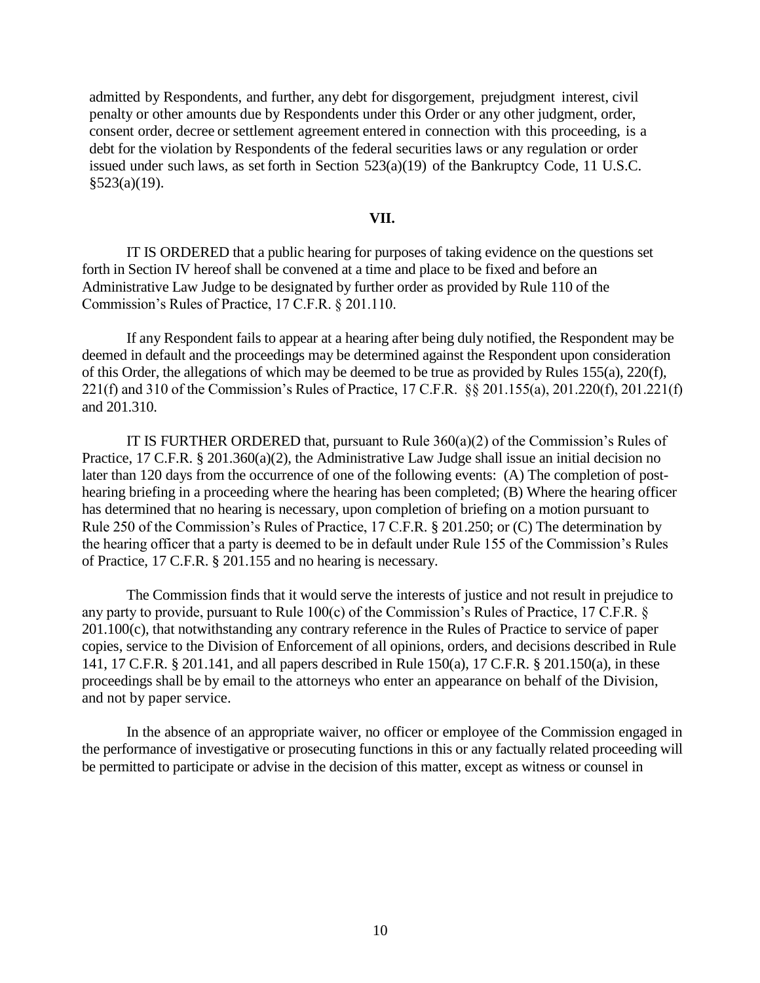admitted by Respondents, and further, any debt for disgorgement, prejudgment interest, civil penalty or other amounts due by Respondents under this Order or any other judgment, order, consent order, decree or settlement agreement entered in connection with this proceeding, is a debt for the violation by Respondents of the federal securities laws or any regulation or order issued under such laws, as set forth in Section 523(a)(19) of the Bankruptcy Code, 11 U.S.C.  $§523(a)(19).$ 

#### **VII.**

IT IS ORDERED that a public hearing for purposes of taking evidence on the questions set forth in Section IV hereof shall be convened at a time and place to be fixed and before an Administrative Law Judge to be designated by further order as provided by Rule 110 of the Commission's Rules of Practice, 17 C.F.R. § 201.110.

If any Respondent fails to appear at a hearing after being duly notified, the Respondent may be deemed in default and the proceedings may be determined against the Respondent upon consideration of this Order, the allegations of which may be deemed to be true as provided by Rules 155(a), 220(f), 221(f) and 310 of the Commission's Rules of Practice, 17 C.F.R. §§ 201.155(a), 201.220(f), 201.221(f) and 201.310.

IT IS FURTHER ORDERED that, pursuant to Rule  $360(a)(2)$  of the Commission's Rules of Practice, 17 C.F.R. § 201.360(a)(2), the Administrative Law Judge shall issue an initial decision no later than 120 days from the occurrence of one of the following events: (A) The completion of posthearing briefing in a proceeding where the hearing has been completed; (B) Where the hearing officer has determined that no hearing is necessary, upon completion of briefing on a motion pursuant to Rule 250 of the Commission's Rules of Practice, 17 C.F.R. § 201.250; or (C) The determination by the hearing officer that a party is deemed to be in default under Rule 155 of the Commission's Rules of Practice, 17 C.F.R. § 201.155 and no hearing is necessary.

The Commission finds that it would serve the interests of justice and not result in prejudice to any party to provide, pursuant to Rule 100(c) of the Commission's Rules of Practice, 17 C.F.R. § 201.100(c), that notwithstanding any contrary reference in the Rules of Practice to service of paper copies, service to the Division of Enforcement of all opinions, orders, and decisions described in Rule 141, 17 C.F.R. § 201.141, and all papers described in Rule 150(a), 17 C.F.R. § 201.150(a), in these proceedings shall be by email to the attorneys who enter an appearance on behalf of the Division, and not by paper service.

In the absence of an appropriate waiver, no officer or employee of the Commission engaged in the performance of investigative or prosecuting functions in this or any factually related proceeding will be permitted to participate or advise in the decision of this matter, except as witness or counsel in